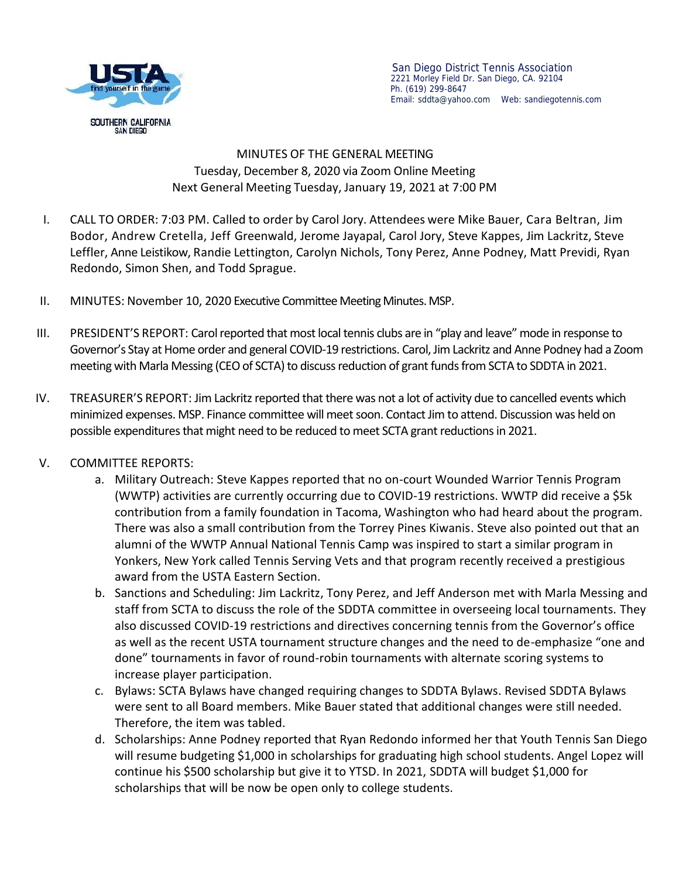

San Diego District Tennis Association 2221 Morley Field Dr. San Diego, CA. 92104 Ph. (619) 299-8647 Email: sddta@yahoo.com Web:sandiegotennis.com

## MINUTES OF THE GENERAL MEETING Tuesday, December 8, 2020 via Zoom Online Meeting Next General Meeting Tuesday, January 19, 2021 at 7:00 PM

- I. CALL TO ORDER: 7:03 PM.Called to order by Carol Jory. Attendees were Mike Bauer, Cara Beltran, Jim Bodor, Andrew Cretella, Jeff Greenwald, Jerome Jayapal, Carol Jory, Steve Kappes, Jim Lackritz, Steve Leffler, Anne Leistikow, Randie Lettington, Carolyn Nichols, Tony Perez, Anne Podney, Matt Previdi, Ryan Redondo, Simon Shen, and Todd Sprague.
- II. MINUTES: November 10, 2020 Executive Committee MeetingMinutes.MSP.
- III. PRESIDENT'S REPORT: Carol reported that most local tennis clubs are in "play and leave" mode in response to Governor's Stay at Home order and general COVID-19 restrictions. Carol, Jim Lackritzand Anne Podney had a Zoom meeting with Marla Messing (CEO of SCTA) to discuss reduction of grant funds from SCTA to SDDTA in 2021.
- IV. TREASURER'S REPORT: Jim Lackritz reported that there was not a lot of activity due to cancelled events which minimized expenses. MSP. Finance committee will meet soon. Contact Jim to attend. Discussion was held on possible expenditures that might need to be reduced to meet SCTA grant reductions in 2021.

## V. COMMITTEE REPORTS:

- a. Military Outreach: Steve Kappes reported that no on-court Wounded Warrior Tennis Program (WWTP) activities are currently occurring due to COVID-19 restrictions. WWTP did receive a \$5k contribution from a family foundation in Tacoma, Washington who had heard about the program. There was also a small contribution from the Torrey Pines Kiwanis. Steve also pointed out that an alumni of the WWTP Annual National Tennis Camp was inspired to start a similar program in Yonkers, New York called Tennis Serving Vets and that program recently received a prestigious award from the USTA Eastern Section.
- b. Sanctions and Scheduling: Jim Lackritz, Tony Perez, and Jeff Anderson met with Marla Messing and staff from SCTA to discuss the role of the SDDTA committee in overseeing local tournaments. They also discussed COVID-19 restrictions and directives concerning tennis from the Governor's office as well as the recent USTA tournament structure changes and the need to de-emphasize "one and done" tournaments in favor of round-robin tournaments with alternate scoring systems to increase player participation.
- c. Bylaws: SCTA Bylaws have changed requiring changes to SDDTA Bylaws. Revised SDDTA Bylaws were sent to all Board members. Mike Bauer stated that additional changes were still needed. Therefore, the item was tabled.
- d. Scholarships: Anne Podney reported that Ryan Redondo informed her that Youth Tennis San Diego will resume budgeting \$1,000 in scholarships for graduating high school students. Angel Lopez will continue his \$500 scholarship but give it to YTSD. In 2021, SDDTA will budget \$1,000 for scholarships that will be now be open only to college students.